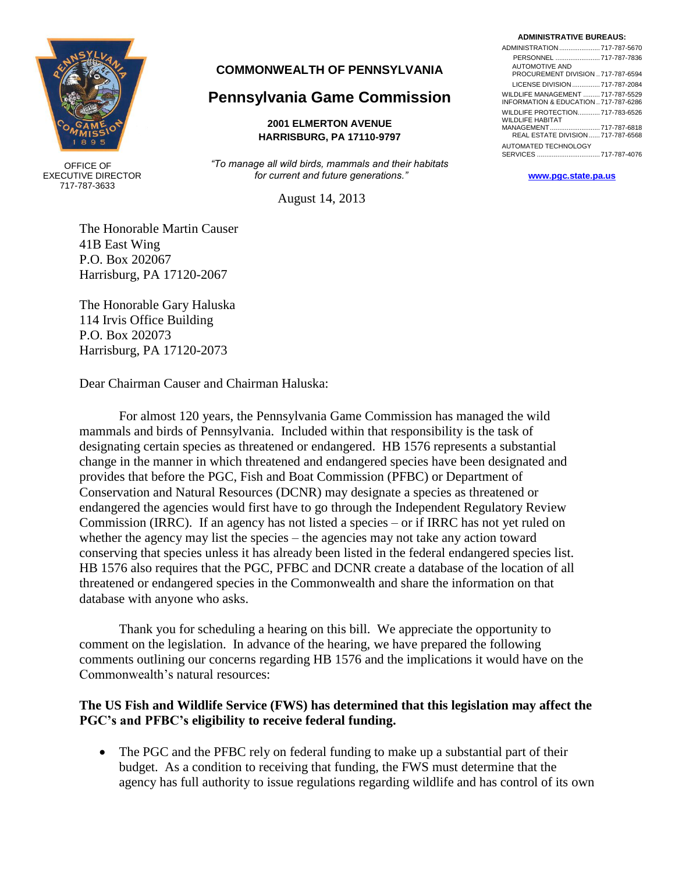

 OFFICE OF EXECUTIVE DIRECTOR 717-787-3633

#### **COMMONWEALTH OF PENNSYLVANIA**

# **Pennsylvania Game Commission**

#### **2001 ELMERTON AVENUE HARRISBURG, PA 17110-9797**

*"To manage all wild birds, mammals and their habitats for current and future generations."* **[www.pgc.state.pa.us](http://www.pgc.state.pa.us/)**

August 14, 2013

The Honorable Martin Causer 41B East Wing P.O. Box 202067 Harrisburg, PA 17120-2067

The Honorable Gary Haluska 114 Irvis Office Building P.O. Box 202073 Harrisburg, PA 17120-2073

Dear Chairman Causer and Chairman Haluska:

For almost 120 years, the Pennsylvania Game Commission has managed the wild mammals and birds of Pennsylvania. Included within that responsibility is the task of designating certain species as threatened or endangered. HB 1576 represents a substantial change in the manner in which threatened and endangered species have been designated and provides that before the PGC, Fish and Boat Commission (PFBC) or Department of Conservation and Natural Resources (DCNR) may designate a species as threatened or endangered the agencies would first have to go through the Independent Regulatory Review Commission (IRRC). If an agency has not listed a species – or if IRRC has not yet ruled on whether the agency may list the species – the agencies may not take any action toward conserving that species unless it has already been listed in the federal endangered species list. HB 1576 also requires that the PGC, PFBC and DCNR create a database of the location of all threatened or endangered species in the Commonwealth and share the information on that database with anyone who asks.

Thank you for scheduling a hearing on this bill. We appreciate the opportunity to comment on the legislation. In advance of the hearing, we have prepared the following comments outlining our concerns regarding HB 1576 and the implications it would have on the Commonwealth's natural resources:

#### **The US Fish and Wildlife Service (FWS) has determined that this legislation may affect the PGC's and PFBC's eligibility to receive federal funding.**

• The PGC and the PFBC rely on federal funding to make up a substantial part of their budget. As a condition to receiving that funding, the FWS must determine that the agency has full authority to issue regulations regarding wildlife and has control of its own

#### **ADMINISTRATIVE BUREAUS:**

| <b>AUTOMOTIVE AND</b>                                       |  |
|-------------------------------------------------------------|--|
| PROCUREMENT DIVISION  717-787-6594                          |  |
| LICENSE DIVISION  717-787-2084                              |  |
| WILDLIFE MANAGEMENT  717-787-5529                           |  |
| INFORMATION & EDUCATION  717-787-6286                       |  |
| WILDLIFE PROTECTION 717-783-6526<br><b>WILDLIFE HABITAT</b> |  |
| MANAGEMENT717-787-6818                                      |  |
| REAL ESTATE DIVISION  717-787-6568                          |  |
| AUTOMATED TECHNOLOGY                                        |  |
|                                                             |  |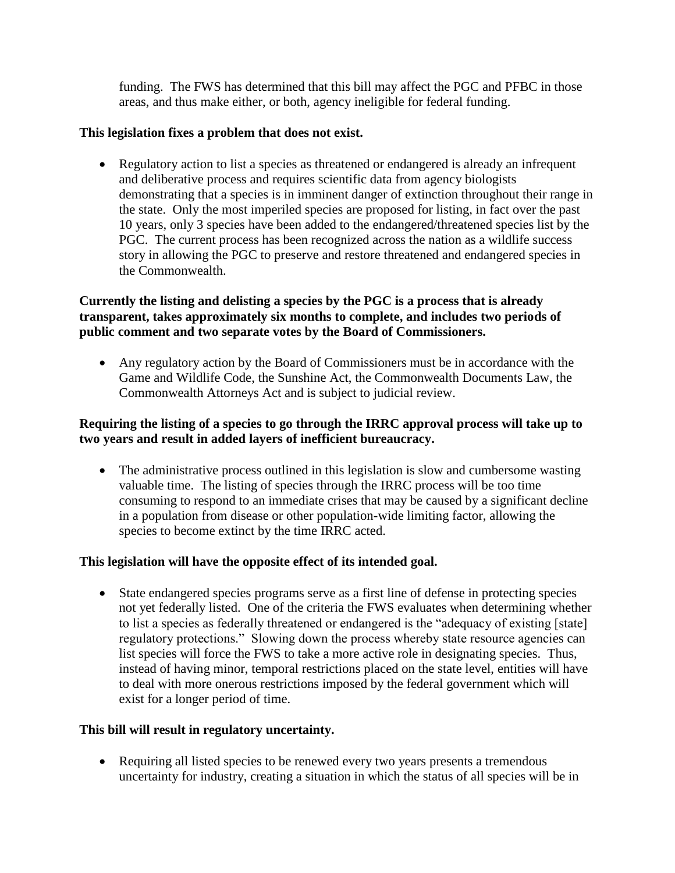funding. The FWS has determined that this bill may affect the PGC and PFBC in those areas, and thus make either, or both, agency ineligible for federal funding.

### **This legislation fixes a problem that does not exist.**

• Regulatory action to list a species as threatened or endangered is already an infrequent and deliberative process and requires scientific data from agency biologists demonstrating that a species is in imminent danger of extinction throughout their range in the state. Only the most imperiled species are proposed for listing, in fact over the past 10 years, only 3 species have been added to the endangered/threatened species list by the PGC. The current process has been recognized across the nation as a wildlife success story in allowing the PGC to preserve and restore threatened and endangered species in the Commonwealth.

## **Currently the listing and delisting a species by the PGC is a process that is already transparent, takes approximately six months to complete, and includes two periods of public comment and two separate votes by the Board of Commissioners.**

 Any regulatory action by the Board of Commissioners must be in accordance with the Game and Wildlife Code, the Sunshine Act, the Commonwealth Documents Law, the Commonwealth Attorneys Act and is subject to judicial review.

## **Requiring the listing of a species to go through the IRRC approval process will take up to two years and result in added layers of inefficient bureaucracy.**

• The administrative process outlined in this legislation is slow and cumbersome wasting valuable time. The listing of species through the IRRC process will be too time consuming to respond to an immediate crises that may be caused by a significant decline in a population from disease or other population-wide limiting factor, allowing the species to become extinct by the time IRRC acted.

# **This legislation will have the opposite effect of its intended goal.**

 State endangered species programs serve as a first line of defense in protecting species not yet federally listed. One of the criteria the FWS evaluates when determining whether to list a species as federally threatened or endangered is the "adequacy of existing [state] regulatory protections." Slowing down the process whereby state resource agencies can list species will force the FWS to take a more active role in designating species. Thus, instead of having minor, temporal restrictions placed on the state level, entities will have to deal with more onerous restrictions imposed by the federal government which will exist for a longer period of time.

# **This bill will result in regulatory uncertainty.**

 Requiring all listed species to be renewed every two years presents a tremendous uncertainty for industry, creating a situation in which the status of all species will be in